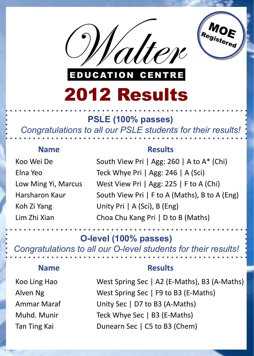



## 2012 Results

#### **PSLE (100% passes)**

*Congratulations to all our PSLE students for their results!*

South View Pri | Agg: 260 | A to A\* (Chi) Teck Whye Pri | Agg: 246 | A (Sci) West View Pri | Agg: 225 | F to A (Chi) South View Pri | F to A (Maths), B to A (Eng) Unity Pri | A (Sci), B (Eng) Choa Chu Kang Pri | D to B (Maths)

West Spring Sec | A2 (E-Maths), B3 (A-Maths) West Spring Sec | F9 to B3 (E-Maths) Unity Sec | D7 to B3 (A-Maths) Teck Whye Sec | B3 (E-Maths)

**O-level (100% passes)**

*Congratulations to all our O-level students for their results!*



Koo Ling Hao Alven Ng Ammar Maraf Muhd. Munir



#### **Name Results**

Koo Wei De

Elna Yeo Low Ming Yi, Marcus Harsharon Kaur Koh Zi Yang Lim Zhi Xian

#### **Name Results**

MOE

Registered